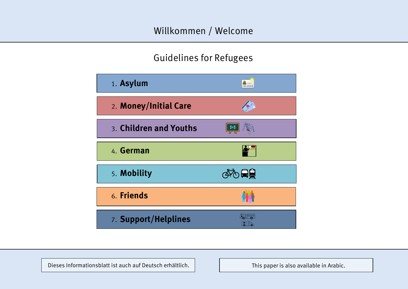### Willkommen / Welcome

## Guidelines for Refugees

| 1. Asylum              | 0.000.000.000 |
|------------------------|---------------|
| 2. Money/Initial Care  |               |
| 3. Children and Youths |               |
| 4. German              |               |
| 5. Mobility            | ☞ ◎           |
| 6. Friends             |               |
| 7. Support/Helplines   |               |

Dieses Informationsblatt ist auch auf Deutsch erhältlich.

This paper is also available in Arabic.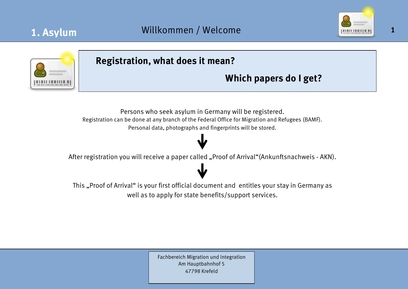



### **Registration, what does it mean?**

## **Which papers do I get?**

Persons who seek asylum in Germany will be registered. Registration can be done at any branch of the Federal Office for Migration and Refugees (BAMF). Personal data, photographs and fingerprints will be stored.

After registration you will receive a paper called "Proof of Arrival"(Ankunftsnachweis - AKN).

This "Proof of Arrival" is your first official document and entitles your stay in Germany as well as to apply for state benefits/support services.

> Fachbereich Migration und Integration Am Hauptbahnhof 5 47798 Krefeld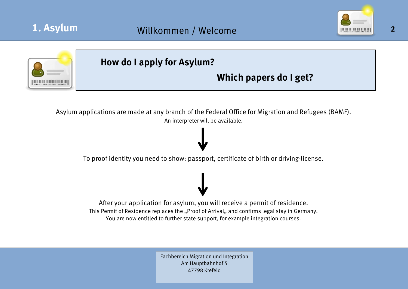





Fachbereich Migration und Integration Am Hauptbahnhof 5 47798 Krefeld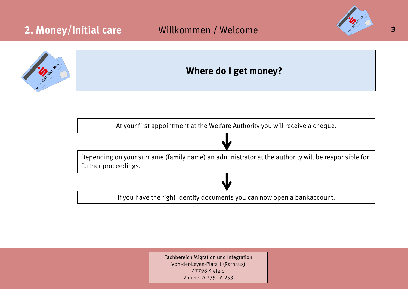





Fachbereich Migration und Integration Von-der-Leyen-Platz 1 (Rathaus) 47798 Krefeld Zimmer A 235 - A 253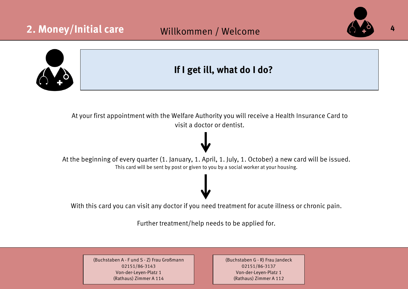# 2. Money/Initial care **412 Willkommen / Welcome**





### **If I get ill, what do I do?**

At your first appointment with the Welfare Authority you will receive a Health Insurance Card to visit a doctor or dentist.

### At the beginning of every quarter (1. January, 1. April, 1. July, 1. October) a new card will be issued. This card will be sent by post or given to you by a social worker at your housing.

With this card you can visit any doctor if you need treatment for acute illness or chronic pain.

Further treatment/help needs to be applied for.

(Buchstaben A - F und S - Z) Frau Großmann 02151/86-3143 Von-der-Leyen-Platz 1 (Rathaus) Zimmer A 114

(Buchstaben G - R) Frau Jandeck 02151/86-3137 Von-der-Leyen-Platz 1 (Rathaus) Zimmer A 112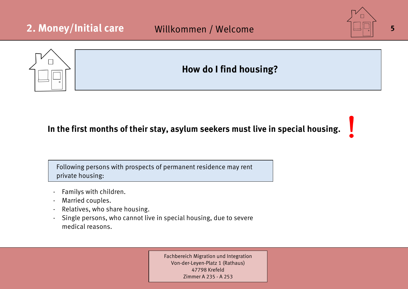

### **In the first months of their stay, asylum seekers must live in special housing.**

Following persons with prospects of permanent residence may rent private housing:

- Familys with children.
- Married couples.
- Relatives, who share housing.
- Single persons, who cannot live in special housing, due to severe medical reasons.

Fachbereich Migration und Integration Von-der-Leyen-Platz 1 (Rathaus) 47798 Krefeld Zimmer A 235 - A 253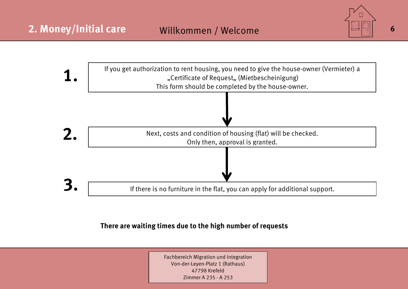



### **There are waiting times due to the high number of requests**

Fachbereich Migration und Integration Von-der-Leyen-Platz 1 (Rathaus) 47798 Krefeld Zimmer A 235 - A 253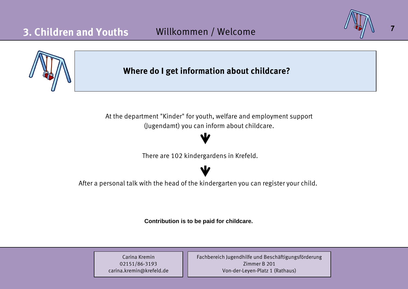

Carina Kremin 02151/86-3193 carina.kremin@krefeld.de Fachbereich Jugendhilfe und Beschäftigungsförderung Zimmer B 201 Von-der-Leyen-Platz 1 (Rathaus)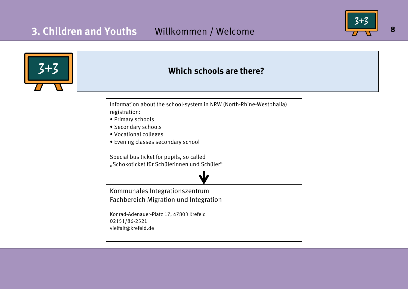

**8**

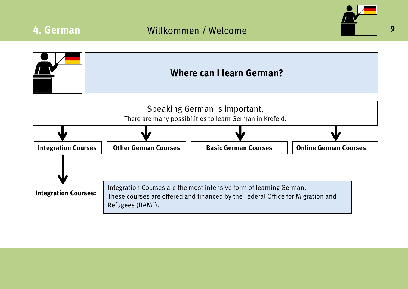



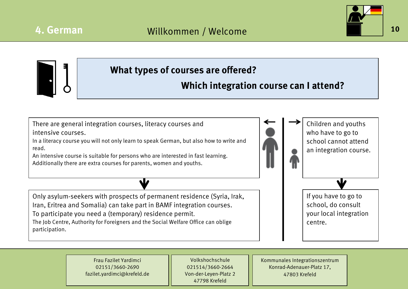![](_page_10_Picture_2.jpeg)

**What types of courses are offered?** There are general integration courses, literacy courses and intensive courses. In a literacy course you will not only learn to speak German, but also how to write and read. An intensive course is suitable for persons who are interested in fast learning. Additionally there are extra courses for parents, women and youths. Only asylum-seekers with prospects of permanent residence (Syria, Irak, Iran, Eritrea and Somalia) can take part in BAMF integration courses. To participate you need a (temporary) residence permit. **Which integration course can I attend?** Children and youths who have to go to school cannot attend an integration course. If you have to go to school, do consult your local integration

The Job Centre, Authority for Foreigners and the Social Welfare Office can oblige participation.

centre.

Frau Fazilet Yardimci 02151/3660-2690 fazilet.yardimci@krefeld.de

Volkshochschule 021514/3660-2664 Von-der-Leyen-Platz 2 47798 Krefeld

Kommunales Integrationszentrum Konrad-Adenauer-Platz 17, 47803 Krefeld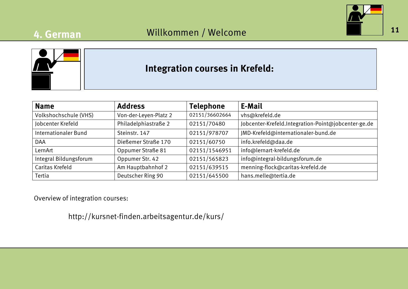## **4. German**

![](_page_11_Picture_2.jpeg)

![](_page_11_Figure_3.jpeg)

### **Integration courses in Krefeld:**

| <b>Name</b>            | <b>Address</b>        | <b>Telephone</b> | E-Mail                                              |  |
|------------------------|-----------------------|------------------|-----------------------------------------------------|--|
| Volkshochschule (VHS)  | Von-der-Leyen-Platz 2 | 02151/36602664   | vhs@krefeld.de                                      |  |
| Jobcenter Krefeld      | Philadelphiastraße 2  | 02151/70480      | Jobcenter-Krefeld.Integration-Point@jobcenter-ge.de |  |
| Internationaler Bund   | Steinstr. 147         | 02151/978707     | JMD-Krefeld@internationaler-bund.de                 |  |
| <b>DAA</b>             | Dießemer Straße 170   | 02151/60750      | info.krefeld@daa.de                                 |  |
| LernArt                | Oppumer Straße 81     | 02151/1546951    | info@lernart-krefeld.de                             |  |
| Integral Bildungsforum | Oppumer Str. 42       | 02151/565823     | info@integral-bildungsforum.de                      |  |
| Caritas Krefeld        | Am Hauptbahnhof 2     | 02151/639515     | menning-flock@caritas-krefeld.de                    |  |
| Tertia                 | Deutscher Ring 90     | 02151/645500     | hans.melle@tertia.de                                |  |

Overview of integration courses:

http://kursnet-finden.arbeitsagentur.de/kurs/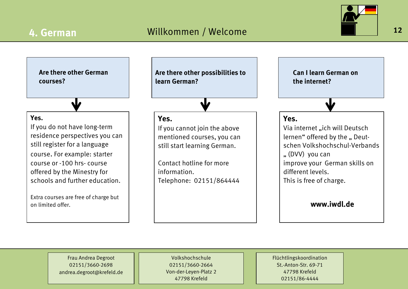![](_page_12_Picture_2.jpeg)

**Are there other German courses?**

W.

### **Yes.**

If you do not have long-term residence perspectives you can still register for a language course. For example: starter course or -100 hrs- course offered by the Minestry for schools and further education.

Extra courses are free of charge but on limited offer.

**Are there other possibilities to learn German?**

### **Yes.**

If you cannot join the above mentioned courses, you can still start learning German.

Contact hotline for more information. Telephone: 02151/864444

**Can I learn German on the internet?**

### **Yes.**

Via internet "ich will Deutsch lernen" offered by the " Deutschen Volkshochschul-Verbands .. (DVV) you can improve your German skills on different levels. This is free of charge.

**www.iwdl.de**

Frau Andrea Degroot 02151/3660-2698 andrea.degroot@krefeld.de

Volkshochschule 02151/3660-2664 Von-der-Leyen-Platz 2 47798 Krefeld

Flüchtlingskoordination St.-Anton-Str. 69-71 47798 Krefeld 02151/86-4444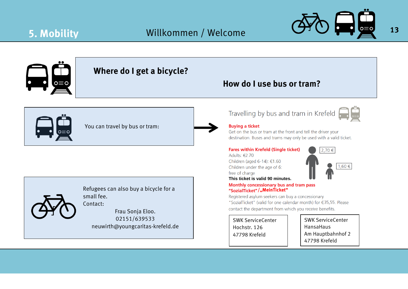![](_page_13_Picture_2.jpeg)

![](_page_13_Figure_3.jpeg)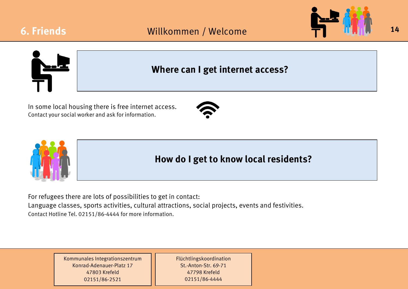![](_page_14_Picture_2.jpeg)

![](_page_14_Picture_3.jpeg)

### **Where can I get internet access?**

In some local housing there is free internet access. Contact your social worker and ask for information.

![](_page_14_Picture_6.jpeg)

![](_page_14_Picture_7.jpeg)

For refugees there are lots of possibilities to get in contact: Language classes, sports activities, cultural attractions, social projects, events and festivities. Contact Hotline Tel. 02151/86-4444 for more information.

> Kommunales Integrationszentrum Konrad-Adenauer-Platz 17 47803 Krefeld 02151/86-2521

Flüchtlingskoordination St.-Anton-Str. 69-71 47798 Krefeld 02151/86-4444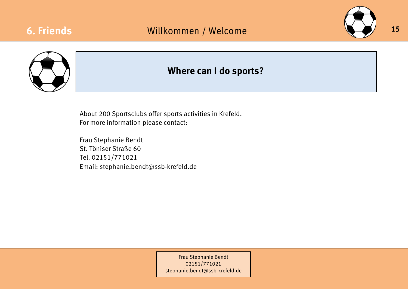![](_page_15_Picture_2.jpeg)

![](_page_15_Picture_3.jpeg)

### **Where can I do sports?**

About 200 Sportsclubs offer sports activities in Krefeld. For more information please contact:

Frau Stephanie Bendt St. Töniser Straße 60 Tel. 02151/771021 Email: stephanie.bendt@ssb-krefeld.de

> Frau Stephanie Bendt 02151/771021 [stephanie.bendt@ssb-krefeld.de](mailto:stephanie.bendt@ssb-krefeld.de)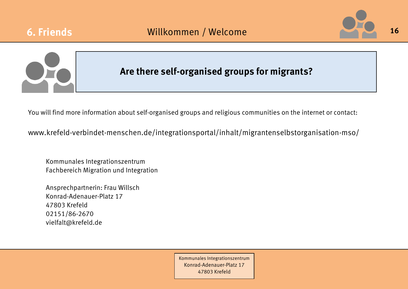![](_page_16_Picture_0.jpeg)

![](_page_16_Picture_2.jpeg)

![](_page_16_Picture_3.jpeg)

### **Are there self-organised groups for migrants?**

You will find more information about self-organised groups and religious communities on the internet or contact:

www.krefeld-verbindet-menschen.de/integrationsportal/inhalt/migrantenselbstorganisation-mso/

Kommunales Integrationszentrum Fachbereich Migration und Integration

Ansprechpartnerin: Frau Willsch Konrad-Adenauer-Platz 17 47803 Krefeld 02151/86-2670 vielfalt@krefeld.de

> Kommunales Integrationszentrum Konrad-Adenauer-Platz 17 47803 Krefeld